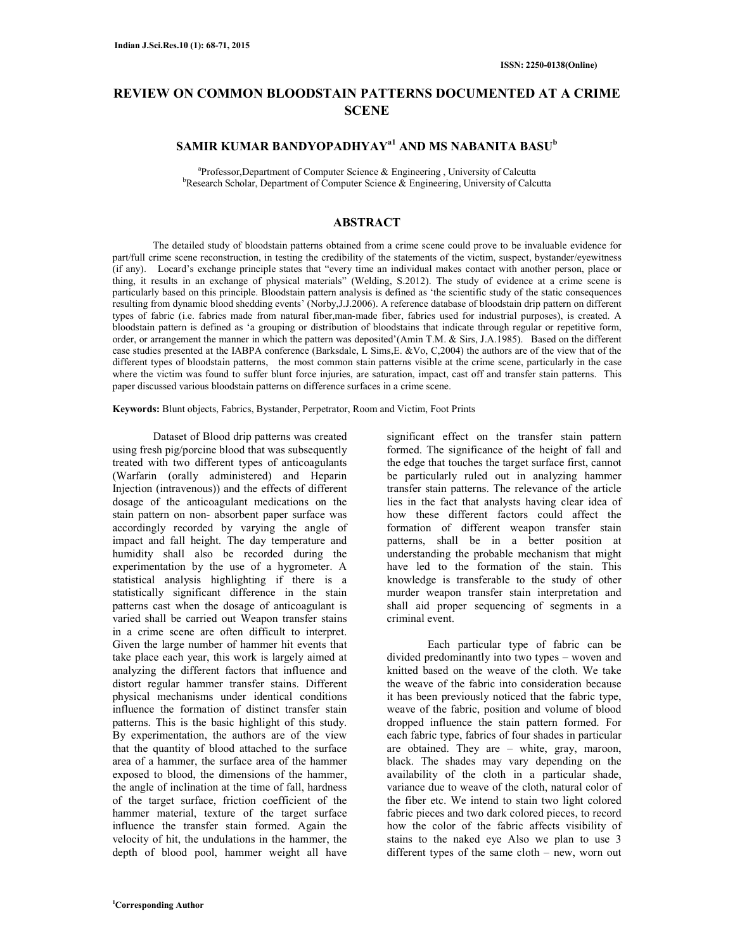# **REVIEW ON COMMON BLOODSTAIN PATTERNS DOCUMENTED AT A CRIME SCENE**

# **SAMIR KUMAR BANDYOPADHYAYa1 AND MS NABANITA BASU<sup>b</sup>**

<sup>a</sup>Professor,Department of Computer Science & Engineering, University of Calcutta  $b$ Research Scholar, Department of Computer Science & Engineering, University of Calcutta

#### **ABSTRACT**

The detailed study of bloodstain patterns obtained from a crime scene could prove to be invaluable evidence for part/full crime scene reconstruction, in testing the credibility of the statements of the victim, suspect, bystander/eyewitness (if any). Locard's exchange principle states that "every time an individual makes contact with another person, place or thing, it results in an exchange of physical materials" (Welding, S.2012). The study of evidence at a crime scene is particularly based on this principle. Bloodstain pattern analysis is defined as 'the scientific study of the static consequences resulting from dynamic blood shedding events' (Norby,J.J.2006). A reference database of bloodstain drip pattern on different types of fabric (i.e. fabrics made from natural fiber,man-made fiber, fabrics used for industrial purposes), is created. A bloodstain pattern is defined as 'a grouping or distribution of bloodstains that indicate through regular or repetitive form, order, or arrangement the manner in which the pattern was deposited'(Amin T.M. & Sirs, J.A.1985). Based on the different case studies presented at the IABPA conference (Barksdale, L Sims,E. &Vo, C,2004) the authors are of the view that of the different types of bloodstain patterns, the most common stain patterns visible at the crime scene, particularly in the case where the victim was found to suffer blunt force injuries, are saturation, impact, cast off and transfer stain patterns. This paper discussed various bloodstain patterns on difference surfaces in a crime scene.

**Keywords:** Blunt objects, Fabrics, Bystander, Perpetrator, Room and Victim, Foot Prints

Dataset of Blood drip patterns was created using fresh pig/porcine blood that was subsequently treated with two different types of anticoagulants (Warfarin (orally administered) and Heparin Injection (intravenous)) and the effects of different dosage of the anticoagulant medications on the stain pattern on non- absorbent paper surface was accordingly recorded by varying the angle of impact and fall height. The day temperature and humidity shall also be recorded during the experimentation by the use of a hygrometer. A statistical analysis highlighting if there is a statistically significant difference in the stain patterns cast when the dosage of anticoagulant is varied shall be carried out Weapon transfer stains in a crime scene are often difficult to interpret. Given the large number of hammer hit events that take place each year, this work is largely aimed at analyzing the different factors that influence and distort regular hammer transfer stains. Different physical mechanisms under identical conditions influence the formation of distinct transfer stain patterns. This is the basic highlight of this study. By experimentation, the authors are of the view that the quantity of blood attached to the surface area of a hammer, the surface area of the hammer exposed to blood, the dimensions of the hammer, the angle of inclination at the time of fall, hardness of the target surface, friction coefficient of the hammer material, texture of the target surface influence the transfer stain formed. Again the velocity of hit, the undulations in the hammer, the depth of blood pool, hammer weight all have

significant effect on the transfer stain pattern formed. The significance of the height of fall and the edge that touches the target surface first, cannot be particularly ruled out in analyzing hammer transfer stain patterns. The relevance of the article lies in the fact that analysts having clear idea of how these different factors could affect the formation of different weapon transfer stain patterns, shall be in a better position at understanding the probable mechanism that might have led to the formation of the stain. This knowledge is transferable to the study of other murder weapon transfer stain interpretation and shall aid proper sequencing of segments in a criminal event.

Each particular type of fabric can be divided predominantly into two types – woven and knitted based on the weave of the cloth. We take the weave of the fabric into consideration because it has been previously noticed that the fabric type, weave of the fabric, position and volume of blood dropped influence the stain pattern formed. For each fabric type, fabrics of four shades in particular are obtained. They are – white, gray, maroon, black. The shades may vary depending on the availability of the cloth in a particular shade, variance due to weave of the cloth, natural color of the fiber etc. We intend to stain two light colored fabric pieces and two dark colored pieces, to record how the color of the fabric affects visibility of stains to the naked eye Also we plan to use 3 different types of the same cloth – new, worn out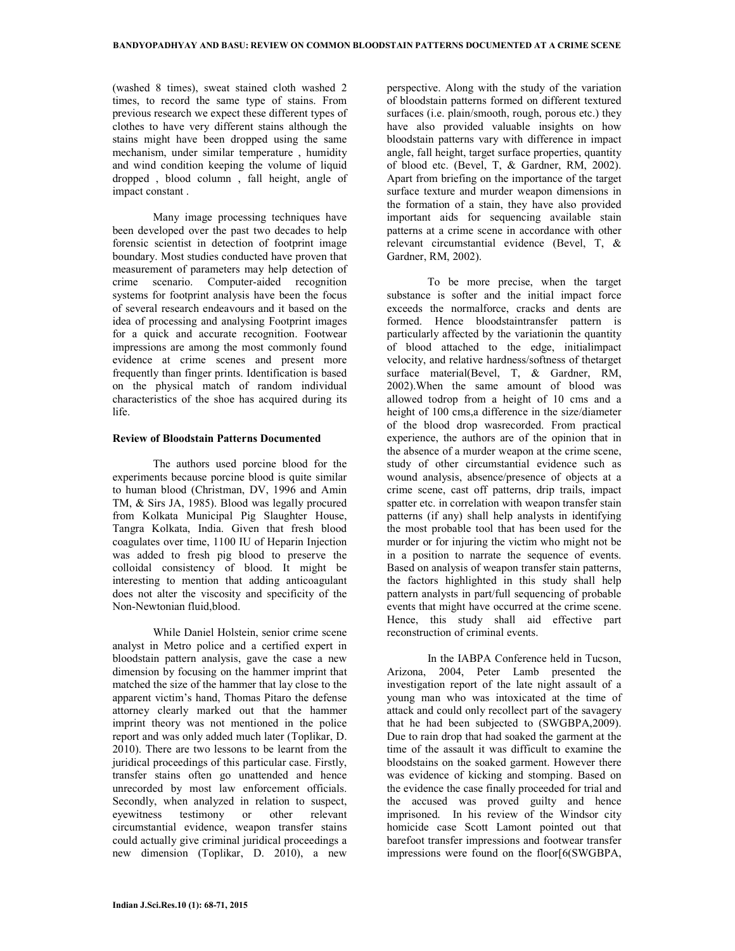(washed 8 times), sweat stained cloth washed 2 times, to record the same type of stains. From previous research we expect these different types of clothes to have very different stains although the stains might have been dropped using the same mechanism, under similar temperature , humidity and wind condition keeping the volume of liquid dropped , blood column , fall height, angle of impact constant .

Many image processing techniques have been developed over the past two decades to help forensic scientist in detection of footprint image boundary. Most studies conducted have proven that measurement of parameters may help detection of crime scenario. Computer-aided recognition systems for footprint analysis have been the focus of several research endeavours and it based on the idea of processing and analysing Footprint images for a quick and accurate recognition. Footwear impressions are among the most commonly found evidence at crime scenes and present more frequently than finger prints. Identification is based on the physical match of random individual characteristics of the shoe has acquired during its life.

#### **Review of Bloodstain Patterns Documented**

The authors used porcine blood for the experiments because porcine blood is quite similar to human blood (Christman, DV, 1996 and Amin TM, & Sirs JA, 1985). Blood was legally procured from Kolkata Municipal Pig Slaughter House, Tangra Kolkata, India. Given that fresh blood coagulates over time, 1100 IU of Heparin Injection was added to fresh pig blood to preserve the colloidal consistency of blood. It might be interesting to mention that adding anticoagulant does not alter the viscosity and specificity of the Non-Newtonian fluid,blood.

While Daniel Holstein, senior crime scene analyst in Metro police and a certified expert in bloodstain pattern analysis, gave the case a new dimension by focusing on the hammer imprint that matched the size of the hammer that lay close to the apparent victim's hand, Thomas Pitaro the defense attorney clearly marked out that the hammer imprint theory was not mentioned in the police report and was only added much later (Toplikar, D. 2010). There are two lessons to be learnt from the juridical proceedings of this particular case. Firstly, transfer stains often go unattended and hence unrecorded by most law enforcement officials. Secondly, when analyzed in relation to suspect, eyewitness testimony or other relevant circumstantial evidence, weapon transfer stains could actually give criminal juridical proceedings a new dimension (Toplikar, D. 2010), a new

perspective. Along with the study of the variation of bloodstain patterns formed on different textured surfaces (i.e. plain/smooth, rough, porous etc.) they have also provided valuable insights on how bloodstain patterns vary with difference in impact angle, fall height, target surface properties, quantity of blood etc. (Bevel, T, & Gardner, RM, 2002). Apart from briefing on the importance of the target surface texture and murder weapon dimensions in the formation of a stain, they have also provided important aids for sequencing available stain patterns at a crime scene in accordance with other relevant circumstantial evidence (Bevel, T, & Gardner, RM, 2002).

To be more precise, when the target substance is softer and the initial impact force exceeds the normalforce, cracks and dents are formed. Hence bloodstaintransfer pattern is particularly affected by the variationin the quantity of blood attached to the edge, initialimpact velocity, and relative hardness/softness of thetarget surface material(Bevel, T, & Gardner, RM, 2002).When the same amount of blood was allowed todrop from a height of 10 cms and a height of 100 cms,a difference in the size/diameter of the blood drop wasrecorded. From practical experience, the authors are of the opinion that in the absence of a murder weapon at the crime scene, study of other circumstantial evidence such as wound analysis, absence/presence of objects at a crime scene, cast off patterns, drip trails, impact spatter etc. in correlation with weapon transfer stain patterns (if any) shall help analysts in identifying the most probable tool that has been used for the murder or for injuring the victim who might not be in a position to narrate the sequence of events. Based on analysis of weapon transfer stain patterns, the factors highlighted in this study shall help pattern analysts in part/full sequencing of probable events that might have occurred at the crime scene. Hence, this study shall aid effective part reconstruction of criminal events.

In the IABPA Conference held in Tucson, Arizona, 2004, Peter Lamb presented the investigation report of the late night assault of a young man who was intoxicated at the time of attack and could only recollect part of the savagery that he had been subjected to (SWGBPA,2009). Due to rain drop that had soaked the garment at the time of the assault it was difficult to examine the bloodstains on the soaked garment. However there was evidence of kicking and stomping. Based on the evidence the case finally proceeded for trial and the accused was proved guilty and hence imprisoned. In his review of the Windsor city homicide case Scott Lamont pointed out that barefoot transfer impressions and footwear transfer impressions were found on the floor[6(SWGBPA,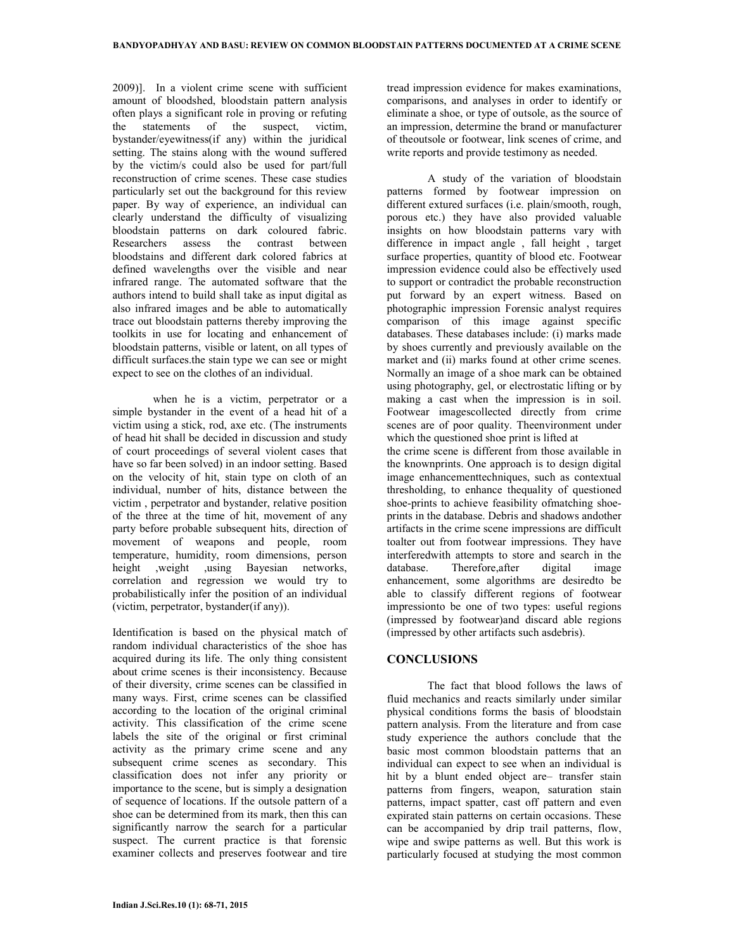2009)]. In a violent crime scene with sufficient amount of bloodshed, bloodstain pattern analysis often plays a significant role in proving or refuting the statements of the suspect, victim, bystander/eyewitness(if any) within the juridical setting. The stains along with the wound suffered by the victim/s could also be used for part/full reconstruction of crime scenes. These case studies particularly set out the background for this review paper. By way of experience, an individual can clearly understand the difficulty of visualizing bloodstain patterns on dark coloured fabric. Researchers assess the contrast between bloodstains and different dark colored fabrics at defined wavelengths over the visible and near infrared range. The automated software that the authors intend to build shall take as input digital as also infrared images and be able to automatically trace out bloodstain patterns thereby improving the toolkits in use for locating and enhancement of bloodstain patterns, visible or latent, on all types of difficult surfaces.the stain type we can see or might expect to see on the clothes of an individual.

when he is a victim, perpetrator or a simple bystander in the event of a head hit of a victim using a stick, rod, axe etc. (The instruments of head hit shall be decided in discussion and study of court proceedings of several violent cases that have so far been solved) in an indoor setting. Based on the velocity of hit, stain type on cloth of an individual, number of hits, distance between the victim , perpetrator and bystander, relative position of the three at the time of hit, movement of any party before probable subsequent hits, direction of movement of weapons and people, room temperature, humidity, room dimensions, person height ,weight ,using Bayesian networks, correlation and regression we would try to probabilistically infer the position of an individual (victim, perpetrator, bystander(if any)).

Identification is based on the physical match of random individual characteristics of the shoe has acquired during its life. The only thing consistent about crime scenes is their inconsistency. Because of their diversity, crime scenes can be classified in many ways. First, crime scenes can be classified according to the location of the original criminal activity. This classification of the crime scene labels the site of the original or first criminal activity as the primary crime scene and any subsequent crime scenes as secondary. This classification does not infer any priority or importance to the scene, but is simply a designation of sequence of locations. If the outsole pattern of a shoe can be determined from its mark, then this can significantly narrow the search for a particular suspect. The current practice is that forensic examiner collects and preserves footwear and tire

tread impression evidence for makes examinations, comparisons, and analyses in order to identify or eliminate a shoe, or type of outsole, as the source of an impression, determine the brand or manufacturer of theoutsole or footwear, link scenes of crime, and write reports and provide testimony as needed.

A study of the variation of bloodstain patterns formed by footwear impression on different extured surfaces (i.e. plain/smooth, rough, porous etc.) they have also provided valuable insights on how bloodstain patterns vary with difference in impact angle , fall height , target surface properties, quantity of blood etc. Footwear impression evidence could also be effectively used to support or contradict the probable reconstruction put forward by an expert witness. Based on photographic impression Forensic analyst requires comparison of this image against specific databases. These databases include: (i) marks made by shoes currently and previously available on the market and (ii) marks found at other crime scenes. Normally an image of a shoe mark can be obtained using photography, gel, or electrostatic lifting or by making a cast when the impression is in soil. Footwear imagescollected directly from crime scenes are of poor quality. Theenvironment under which the questioned shoe print is lifted at the crime scene is different from those available in the knownprints. One approach is to design digital image enhancementtechniques, such as contextual thresholding, to enhance thequality of questioned shoe-prints to achieve feasibility ofmatching shoeprints in the database. Debris and shadows andother artifacts in the crime scene impressions are difficult toalter out from footwear impressions. They have interferedwith attempts to store and search in the database. Therefore,after digital image enhancement, some algorithms are desiredto be able to classify different regions of footwear impressionto be one of two types: useful regions (impressed by footwear)and discard able regions (impressed by other artifacts such asdebris).

## **CONCLUSIONS**

The fact that blood follows the laws of fluid mechanics and reacts similarly under similar physical conditions forms the basis of bloodstain pattern analysis. From the literature and from case study experience the authors conclude that the basic most common bloodstain patterns that an individual can expect to see when an individual is hit by a blunt ended object are– transfer stain patterns from fingers, weapon, saturation stain patterns, impact spatter, cast off pattern and even expirated stain patterns on certain occasions. These can be accompanied by drip trail patterns, flow, wipe and swipe patterns as well. But this work is particularly focused at studying the most common